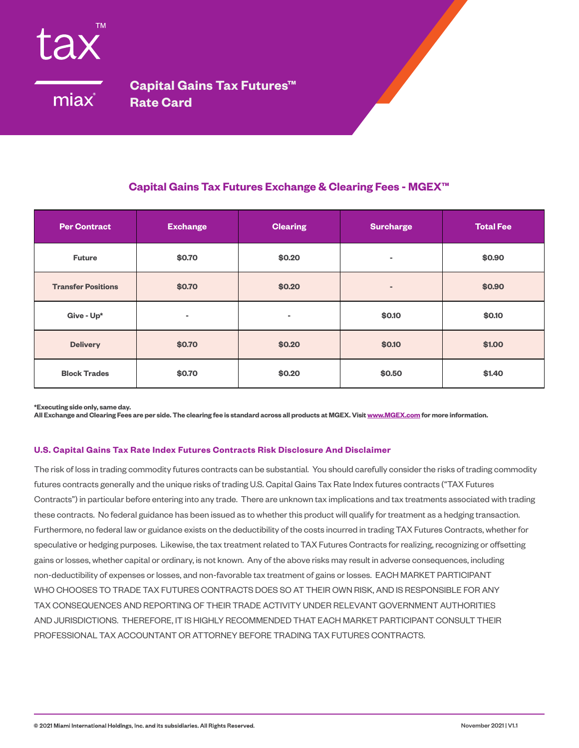

 $\overline{\text{mix}}$ 

**Capital Gains Tax Futures™ Rate Card**

## **Capital Gains Tax Futures Exchange & Clearing Fees - MGEX™**

| <b>Per Contract</b>       | <b>Exchange</b> | <b>Clearing</b> | <b>Surcharge</b> | <b>Total Fee</b> |
|---------------------------|-----------------|-----------------|------------------|------------------|
| <b>Future</b>             | \$0.70          | \$0.20          | ٠                | \$0.90           |
| <b>Transfer Positions</b> | \$0.70          | \$0.20          | $\blacksquare$   | \$0.90           |
| Give - Up*                | $\sim$          | ٠               | \$0.10           | \$0.10           |
| <b>Delivery</b>           | \$0.70          | \$0.20          | \$0.10           | \$1.00           |
| <b>Block Trades</b>       | \$0.70          | \$0.20          | \$0.50           | \$1.40           |

**\*Executing side only, same day.**

**All Exchange and Clearing Fees are per side. The clearing fee is standard across all products at MGEX. Visit [www.MGEX.com](http://www.MGEX.com) for more information.**

## **U.S. Capital Gains Tax Rate Index Futures Contracts Risk Disclosure And Disclaimer**

The risk of loss in trading commodity futures contracts can be substantial. You should carefully consider the risks of trading commodity futures contracts generally and the unique risks of trading U.S. Capital Gains Tax Rate Index futures contracts ("TAX Futures Contracts") in particular before entering into any trade. There are unknown tax implications and tax treatments associated with trading these contracts. No federal guidance has been issued as to whether this product will qualify for treatment as a hedging transaction. Furthermore, no federal law or guidance exists on the deductibility of the costs incurred in trading TAX Futures Contracts, whether for speculative or hedging purposes. Likewise, the tax treatment related to TAX Futures Contracts for realizing, recognizing or offsetting gains or losses, whether capital or ordinary, is not known. Any of the above risks may result in adverse consequences, including non-deductibility of expenses or losses, and non-favorable tax treatment of gains or losses. EACH MARKET PARTICIPANT WHO CHOOSES TO TRADE TAX FUTURES CONTRACTS DOES SO AT THEIR OWN RISK, AND IS RESPONSIBLE FOR ANY TAX CONSEQUENCES AND REPORTING OF THEIR TRADE ACTIVITY UNDER RELEVANT GOVERNMENT AUTHORITIES AND JURISDICTIONS. THEREFORE, IT IS HIGHLY RECOMMENDED THAT EACH MARKET PARTICIPANT CONSULT THEIR PROFESSIONAL TAX ACCOUNTANT OR ATTORNEY BEFORE TRADING TAX FUTURES CONTRACTS.